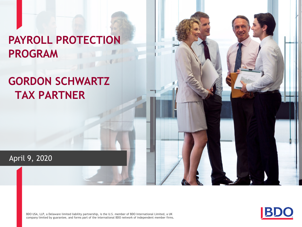# **PAYROLL PROTECTION PROGRAM**

# **GORDON SCHWARTZ TAX PARTNER**

April 9, 2020

BDO USA, LLP, a Delaware limited liability partnership, is the U.S. member of BDO International Limited, a UK company limited by guarantee, and forms part of the international BDO network of independent member firms.



William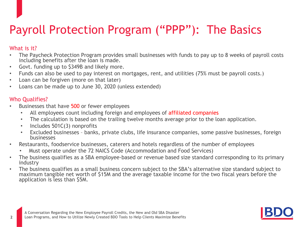# Payroll Protection Program ("PPP"): The Basics

### What is it?

- The Paycheck Protection Program provides small businesses with funds to pay up to 8 weeks of payroll costs including benefits after the loan is made.
- Govt. funding up to \$349B and likely more.
- Funds can also be used to pay interest on mortgages, rent, and utilities (75% must be payroll costs.)
- Loan can be forgiven (more on that later)
- Loans can be made up to June 30, 2020 (unless extended)

### Who Qualifies?

- Businesses that have 500 or fewer employees
	- All employees count including foreign and employees of affiliated companies
	- The calculation is based on the trailing twelve months average prior to the loan application.
	- Includes 501C(3) nonprofits
	- Excluded businesses banks, private clubs, life insurance companies, some passive businesses, foreign businesses
- Restaurants, foodservice businesses, caterers and hotels regardless of the number of employees
	- Must operate under the 72 NAICS Code (Accommodation and Food Services)
- The business qualifies as a SBA employee-based or revenue based size standard corresponding to its primary industry
- The business qualifies as a small business concern subject to the SBA's alternative size standard subject to maximum tangible net worth of \$15M and the average taxable income for the two fiscal years before the application is less than \$5M.

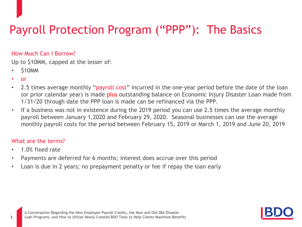# Payroll Protection Program ("PPP"): The Basics

### How Much Can I Borrow?

Up to \$10MM, capped at the lesser of:

- \$10MM
- or
- 2.5 times average monthly "payroll cost" incurred in the one-year period before the date of the loan (or prior calendar year) is made plus outstanding balance on Economic Injury Disaster Loan made from 1/31/20 through date the PPP loan is made can be refinanced via the PPP.
- If a business was not in existence during the 2019 period you can use 2.5 times the average monthly payroll between January 1,2020 and February 29, 2020. Seasonal businesses can use the average monthly payroll costs for the period between February 15, 2019 or March 1, 2019 and June 20, 2019

### What are the terms?

- 1.0% fixed rate
- Payments are deferred for 6 months; interest does accrue over this period
- Loan is due in 2 years; no prepayment penalty or fee if repay the loan early

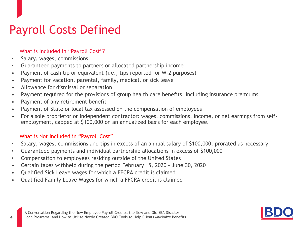# Payroll Costs Defined

### What is Included in "Payroll Cost"?

• Salary, wages, commissions

**4**

- Guaranteed payments to partners or allocated partnership income
- Payment of cash tip or equivalent (i.e., tips reported for W-2 purposes)
- Payment for vacation, parental, family, medical, or sick leave
- Allowance for dismissal or separation
- Payment required for the provisions of group health care benefits, including insurance premiums
- Payment of any retirement benefit
- Payment of State or local tax assessed on the compensation of employees
- For a sole proprietor or independent contractor: wages, commissions, income, or net earnings from selfemployment, capped at \$100,000 on an annualized basis for each employee.

### What is Not Included in "Payroll Cost"

- Salary, wages, commissions and tips in excess of an annual salary of \$100,000, prorated as necessary
- Guaranteed payments and individual partnership allocations in excess of \$100,000
- Compensation to employees residing outside of the United States
- Certain taxes withheld during the period February 15, 2020 June 30, 2020
- Qualified Sick Leave wages for which a FFCRA credit is claimed
- Qualified Family Leave Wages for which a FFCRA credit is claimed

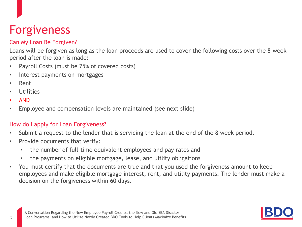# Forgiveness

### Can My Loan Be Forgiven?

Loans will be forgiven as long as the loan proceeds are used to cover the following costs over the 8-week period after the loan is made:

- Payroll Costs (must be 75% of covered costs)
- Interest payments on mortgages
- Rent
- **Utilities**
- AND
- Employee and compensation levels are maintained (see next slide)

### How do I apply for Loan Forgiveness?

- Submit a request to the lender that is servicing the loan at the end of the 8 week period.
- Provide documents that verify:
	- the number of full-time equivalent employees and pay rates and
	- the payments on eligible mortgage, lease, and utility obligations
- You must certify that the documents are true and that you used the forgiveness amount to keep employees and make eligible mortgage interest, rent, and utility payments. The lender must make a decision on the forgiveness within 60 days.

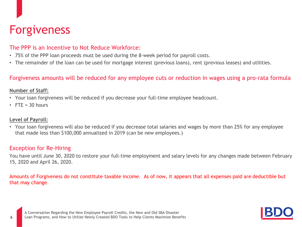## Forgiveness

### The PPP is an Incentive to Not Reduce Workforce:

- 75% of the PPP loan proceeds must be used during the 8-week period for payroll costs.
- The remainder of the loan can be used for mortgage interest (previous loans), rent (previous leases) and utilities.

### Forgiveness amounts will be reduced for any employee cuts or reduction in wages using a pro-rata formula

#### **Number of Staff:**

- Your loan forgiveness will be reduced if you decrease your full-time employee headcount.
- $\cdot$  FTF = 30 hours

#### **Level of Payroll:**

• Your loan forgiveness will also be reduced if you decrease total salaries and wages by more than 25% for any employee that made less than \$100,000 annualized in 2019 (can be new employees.)

### Exception for Re-Hiring

You have until June 30, 2020 to restore your full-time employment and salary levels for any changes made between February 15, 2020 and April 26, 2020.

Amounts of Forgiveness do not constitute taxable income. As of now, it appears that all expenses paid are deductible but that may change.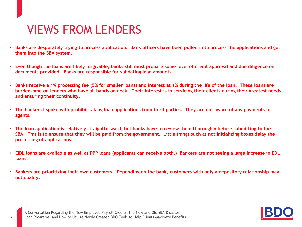## VIEWS FROM LENDERS

- **Banks are desperately trying to process application. Bank officers have been pulled in to process the applications and get them into the SBA system.**
- **Even though the loans are likely forgivable, banks still must prepare some level of credit approval and due diligence on documents provided. Banks are responsible for validating loan amounts.**
- **Banks receive a 1% processing fee (5% for smaller loans) and interest at 1% during the life of the loan. These loans are burdensome on lenders who have all hands on deck. Their interest is in servicing their clients during their greatest needs and ensuring their continuity.**
- **The bankers I spoke with prohibit taking loan applications from third parties. They are not aware of any payments to agents.**
- **The loan application is relatively straightforward, but banks have to review them thoroughly before submitting to the SBA. This is to ensure that they will be paid from the government. Little things such as not initializing boxes delay the processing of applications.**
- **EIDL loans are available as well as PPP loans (applicants can receive both.) Bankers are not seeing a large increase in EDL loans.**
- **Bankers are prioritizing their own customers. Depending on the bank, customers with only a depository relationship may not qualify.**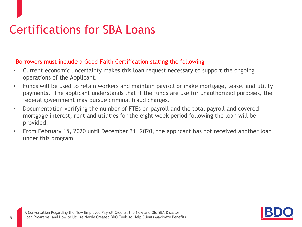# Certifications for SBA Loans

### Borrowers must include a Good-Faith Certification stating the following

- Current economic uncertainty makes this loan request necessary to support the ongoing operations of the Applicant.
- Funds will be used to retain workers and maintain payroll or make mortgage, lease, and utility payments. The applicant understands that if the funds are use for unauthorized purposes, the federal government may pursue criminal fraud charges.
- Documentation verifying the number of FTEs on payroll and the total payroll and covered mortgage interest, rent and utilities for the eight week period following the loan will be provided.
- From February 15, 2020 until December 31, 2020, the applicant has not received another loan under this program.

**8**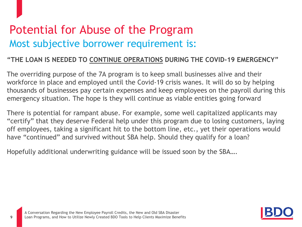# Potential for Abuse of the Program Most subjective borrower requirement is:

### **"THE LOAN IS NEEDED TO CONTINUE OPERATIONS DURING THE COVID-19 EMERGENCY"**

The overriding purpose of the 7A program is to keep small businesses alive and their workforce in place and employed until the Covid-19 crisis wanes. It will do so by helping thousands of businesses pay certain expenses and keep employees on the payroll during this emergency situation. The hope is they will continue as viable entities going forward

There is potential for rampant abuse. For example, some well capitalized applicants may "certify" that they deserve Federal help under this program due to losing customers, laying off employees, taking a significant hit to the bottom line, etc., yet their operations would have "continued" and survived without SBA help. Should they qualify for a loan?

Hopefully additional underwriting guidance will be issued soon by the SBA….